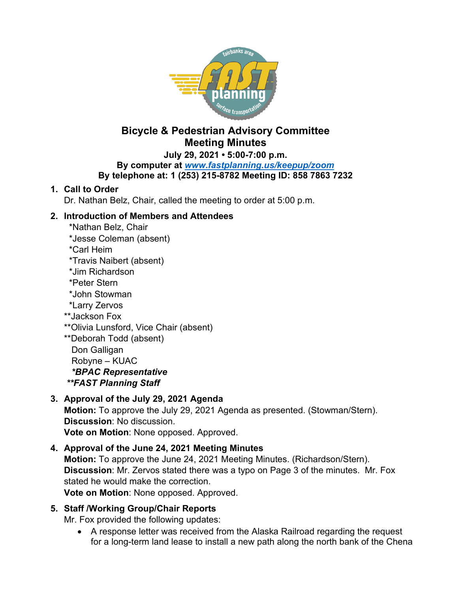

# **Bicycle & Pedestrian Advisory Committee Meeting Minutes**

**July 29, 2021 • 5:00-7:00 p.m.**

**By computer at** *[www.fastplanning.us/keepup/zoom](http://www.fastplanning.us/keepup/zoom)*

## **By telephone at: 1 (253) 215-8782 Meeting ID: 858 7863 7232**

## **1. Call to Order**

Dr. Nathan Belz, Chair, called the meeting to order at 5:00 p.m.

## **2. Introduction of Members and Attendees**

- \*Nathan Belz, Chair \*Jesse Coleman (absent)
- \*Carl Heim
- \*Travis Naibert (absent)
- \*Jim Richardson
- \*Peter Stern
- \*John Stowman
- \*Larry Zervos
- \*\*Jackson Fox
- \*\*Olivia Lunsford, Vice Chair (absent)

\*\*Deborah Todd (absent) Don Galligan Robyne – KUAC  *\*BPAC Representative \*\*FAST Planning Staff*

## **3. Approval of the July 29, 2021 Agenda**

**Motion:** To approve the July 29, 2021 Agenda as presented. (Stowman/Stern). **Discussion**: No discussion. **Vote on Motion**: None opposed. Approved.

## **4. Approval of the June 24, 2021 Meeting Minutes**

**Motion:** To approve the June 24, 2021 Meeting Minutes. (Richardson/Stern). **Discussion**: Mr. Zervos stated there was a typo on Page 3 of the minutes. Mr. Fox stated he would make the correction.

**Vote on Motion**: None opposed. Approved.

## **5. Staff /Working Group/Chair Reports**

Mr. Fox provided the following updates:

• A response letter was received from the Alaska Railroad regarding the request for a long-term land lease to install a new path along the north bank of the Chena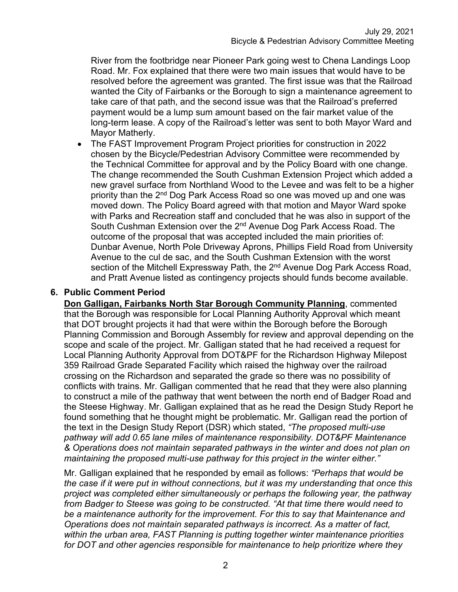River from the footbridge near Pioneer Park going west to Chena Landings Loop Road. Mr. Fox explained that there were two main issues that would have to be resolved before the agreement was granted. The first issue was that the Railroad wanted the City of Fairbanks or the Borough to sign a maintenance agreement to take care of that path, and the second issue was that the Railroad's preferred payment would be a lump sum amount based on the fair market value of the long-term lease. A copy of the Railroad's letter was sent to both Mayor Ward and Mayor Matherly.

• The FAST Improvement Program Project priorities for construction in 2022 chosen by the Bicycle/Pedestrian Advisory Committee were recommended by the Technical Committee for approval and by the Policy Board with one change. The change recommended the South Cushman Extension Project which added a new gravel surface from Northland Wood to the Levee and was felt to be a higher priority than the 2<sup>nd</sup> Dog Park Access Road so one was moved up and one was moved down. The Policy Board agreed with that motion and Mayor Ward spoke with Parks and Recreation staff and concluded that he was also in support of the South Cushman Extension over the 2<sup>nd</sup> Avenue Dog Park Access Road. The outcome of the proposal that was accepted included the main priorities of: Dunbar Avenue, North Pole Driveway Aprons, Phillips Field Road from University Avenue to the cul de sac, and the South Cushman Extension with the worst section of the Mitchell Expressway Path, the 2<sup>nd</sup> Avenue Dog Park Access Road, and Pratt Avenue listed as contingency projects should funds become available.

#### **6. Public Comment Period**

**Don Galligan, Fairbanks North Star Borough Community Planning**, commented that the Borough was responsible for Local Planning Authority Approval which meant that DOT brought projects it had that were within the Borough before the Borough Planning Commission and Borough Assembly for review and approval depending on the scope and scale of the project. Mr. Galligan stated that he had received a request for Local Planning Authority Approval from DOT&PF for the Richardson Highway Milepost 359 Railroad Grade Separated Facility which raised the highway over the railroad crossing on the Richardson and separated the grade so there was no possibility of conflicts with trains. Mr. Galligan commented that he read that they were also planning to construct a mile of the pathway that went between the north end of Badger Road and the Steese Highway. Mr. Galligan explained that as he read the Design Study Report he found something that he thought might be problematic. Mr. Galligan read the portion of the text in the Design Study Report (DSR) which stated, *"The proposed multi-use pathway will add 0.65 lane miles of maintenance responsibility. DOT&PF Maintenance & Operations does not maintain separated pathways in the winter and does not plan on maintaining the proposed multi-use pathway for this project in the winter either."*

Mr. Galligan explained that he responded by email as follows: *"Perhaps that would be the case if it were put in without connections, but it was my understanding that once this project was completed either simultaneously or perhaps the following year, the pathway from Badger to Steese was going to be constructed. "At that time there would need to be a maintenance authority for the improvement. For this to say that Maintenance and Operations does not maintain separated pathways is incorrect. As a matter of fact, within the urban area, FAST Planning is putting together winter maintenance priorities for DOT and other agencies responsible for maintenance to help prioritize where they*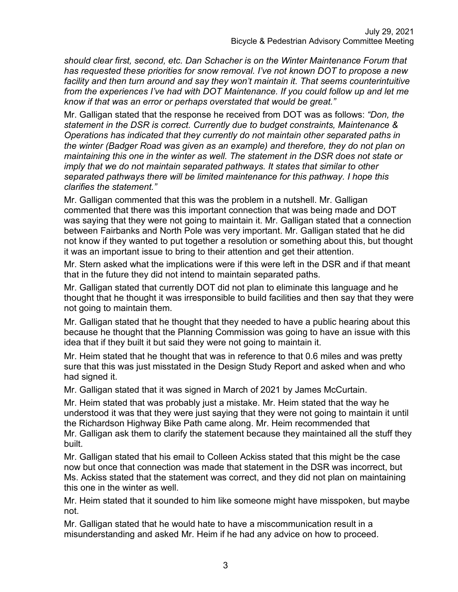*should clear first, second, etc. Dan Schacher is on the Winter Maintenance Forum that has requested these priorities for snow removal. I've not known DOT to propose a new facility and then turn around and say they won't maintain it. That seems counterintuitive from the experiences I've had with DOT Maintenance. If you could follow up and let me know if that was an error or perhaps overstated that would be great."*

Mr. Galligan stated that the response he received from DOT was as follows: *"Don, the statement in the DSR is correct. Currently due to budget constraints, Maintenance & Operations has indicated that they currently do not maintain other separated paths in the winter (Badger Road was given as an example) and therefore, they do not plan on maintaining this one in the winter as well. The statement in the DSR does not state or imply that we do not maintain separated pathways. It states that similar to other separated pathways there will be limited maintenance for this pathway. I hope this clarifies the statement."*

Mr. Galligan commented that this was the problem in a nutshell. Mr. Galligan commented that there was this important connection that was being made and DOT was saying that they were not going to maintain it. Mr. Galligan stated that a connection between Fairbanks and North Pole was very important. Mr. Galligan stated that he did not know if they wanted to put together a resolution or something about this, but thought it was an important issue to bring to their attention and get their attention.

Mr. Stern asked what the implications were if this were left in the DSR and if that meant that in the future they did not intend to maintain separated paths.

Mr. Galligan stated that currently DOT did not plan to eliminate this language and he thought that he thought it was irresponsible to build facilities and then say that they were not going to maintain them.

Mr. Galligan stated that he thought that they needed to have a public hearing about this because he thought that the Planning Commission was going to have an issue with this idea that if they built it but said they were not going to maintain it.

Mr. Heim stated that he thought that was in reference to that 0.6 miles and was pretty sure that this was just misstated in the Design Study Report and asked when and who had signed it.

Mr. Galligan stated that it was signed in March of 2021 by James McCurtain.

Mr. Heim stated that was probably just a mistake. Mr. Heim stated that the way he understood it was that they were just saying that they were not going to maintain it until the Richardson Highway Bike Path came along. Mr. Heim recommended that Mr. Galligan ask them to clarify the statement because they maintained all the stuff they built.

Mr. Galligan stated that his email to Colleen Ackiss stated that this might be the case now but once that connection was made that statement in the DSR was incorrect, but Ms. Ackiss stated that the statement was correct, and they did not plan on maintaining this one in the winter as well.

Mr. Heim stated that it sounded to him like someone might have misspoken, but maybe not.

Mr. Galligan stated that he would hate to have a miscommunication result in a misunderstanding and asked Mr. Heim if he had any advice on how to proceed.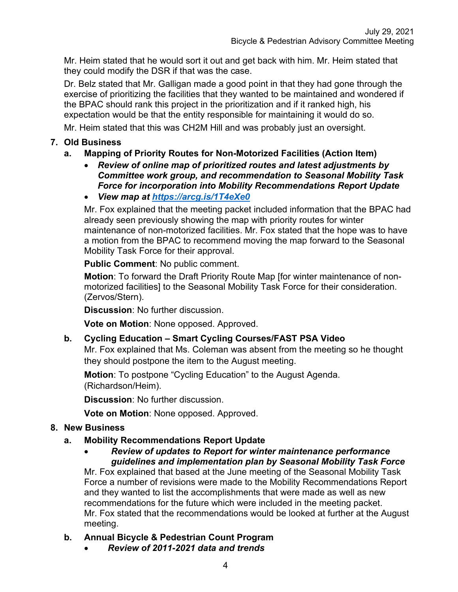Mr. Heim stated that he would sort it out and get back with him. Mr. Heim stated that they could modify the DSR if that was the case.

Dr. Belz stated that Mr. Galligan made a good point in that they had gone through the exercise of prioritizing the facilities that they wanted to be maintained and wondered if the BPAC should rank this project in the prioritization and if it ranked high, his expectation would be that the entity responsible for maintaining it would do so.

Mr. Heim stated that this was CH2M Hill and was probably just an oversight.

#### **7. Old Business**

### **a. Mapping of Priority Routes for Non-Motorized Facilities (Action Item)**

- *Review of online map of prioritized routes and latest adjustments by Committee work group, and recommendation to Seasonal Mobility Task Force for incorporation into Mobility Recommendations Report Update*
- *View map at<https://arcg.is/1T4eXe0>*

Mr. Fox explained that the meeting packet included information that the BPAC had already seen previously showing the map with priority routes for winter maintenance of non-motorized facilities. Mr. Fox stated that the hope was to have a motion from the BPAC to recommend moving the map forward to the Seasonal Mobility Task Force for their approval.

**Public Comment**: No public comment.

**Motion**: To forward the Draft Priority Route Map [for winter maintenance of nonmotorized facilities] to the Seasonal Mobility Task Force for their consideration. (Zervos/Stern).

**Discussion**: No further discussion.

**Vote on Motion**: None opposed. Approved.

#### **b. Cycling Education – Smart Cycling Courses/FAST PSA Video**

Mr. Fox explained that Ms. Coleman was absent from the meeting so he thought they should postpone the item to the August meeting.

**Motion**: To postpone "Cycling Education" to the August Agenda. (Richardson/Heim).

**Discussion**: No further discussion.

**Vote on Motion**: None opposed. Approved.

#### **8. New Business**

#### **a. Mobility Recommendations Report Update**

• *Review of updates to Report for winter maintenance performance guidelines and implementation plan by Seasonal Mobility Task Force*

Mr. Fox explained that based at the June meeting of the Seasonal Mobility Task Force a number of revisions were made to the Mobility Recommendations Report and they wanted to list the accomplishments that were made as well as new recommendations for the future which were included in the meeting packet. Mr. Fox stated that the recommendations would be looked at further at the August meeting.

#### **b. Annual Bicycle & Pedestrian Count Program**

• *Review of 2011-2021 data and trends*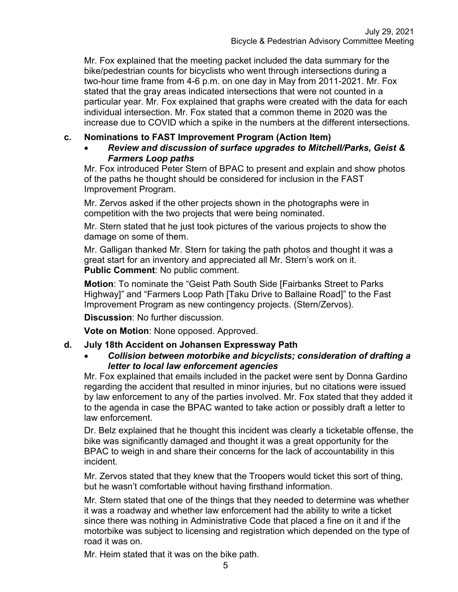Mr. Fox explained that the meeting packet included the data summary for the bike/pedestrian counts for bicyclists who went through intersections during a two-hour time frame from 4-6 p.m. on one day in May from 2011-2021. Mr. Fox stated that the gray areas indicated intersections that were not counted in a particular year. Mr. Fox explained that graphs were created with the data for each individual intersection. Mr. Fox stated that a common theme in 2020 was the increase due to COVID which a spike in the numbers at the different intersections.

#### **c. Nominations to FAST Improvement Program (Action Item)**

#### • *Review and discussion of surface upgrades to Mitchell/Parks, Geist & Farmers Loop paths*

Mr. Fox introduced Peter Stern of BPAC to present and explain and show photos of the paths he thought should be considered for inclusion in the FAST Improvement Program.

Mr. Zervos asked if the other projects shown in the photographs were in competition with the two projects that were being nominated.

Mr. Stern stated that he just took pictures of the various projects to show the damage on some of them.

Mr. Galligan thanked Mr. Stern for taking the path photos and thought it was a great start for an inventory and appreciated all Mr. Stern's work on it. **Public Comment**: No public comment.

**Motion**: To nominate the "Geist Path South Side [Fairbanks Street to Parks Highway]" and "Farmers Loop Path [Taku Drive to Ballaine Road]" to the Fast Improvement Program as new contingency projects. (Stern/Zervos).

**Discussion**: No further discussion.

**Vote on Motion**: None opposed. Approved.

#### **d. July 18th Accident on Johansen Expressway Path**

#### • *Collision between motorbike and bicyclists; consideration of drafting a letter to local law enforcement agencies*

Mr. Fox explained that emails included in the packet were sent by Donna Gardino regarding the accident that resulted in minor injuries, but no citations were issued by law enforcement to any of the parties involved. Mr. Fox stated that they added it to the agenda in case the BPAC wanted to take action or possibly draft a letter to law enforcement.

Dr. Belz explained that he thought this incident was clearly a ticketable offense, the bike was significantly damaged and thought it was a great opportunity for the BPAC to weigh in and share their concerns for the lack of accountability in this incident.

Mr. Zervos stated that they knew that the Troopers would ticket this sort of thing, but he wasn't comfortable without having firsthand information.

Mr. Stern stated that one of the things that they needed to determine was whether it was a roadway and whether law enforcement had the ability to write a ticket since there was nothing in Administrative Code that placed a fine on it and if the motorbike was subject to licensing and registration which depended on the type of road it was on.

Mr. Heim stated that it was on the bike path.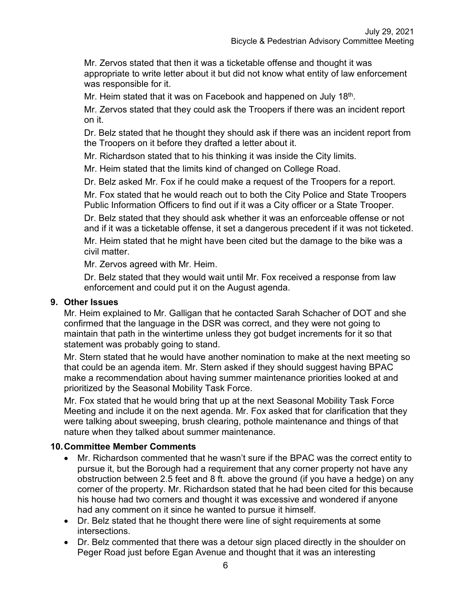Mr. Zervos stated that then it was a ticketable offense and thought it was appropriate to write letter about it but did not know what entity of law enforcement was responsible for it.

Mr. Heim stated that it was on Facebook and happened on July 18<sup>th</sup>.

Mr. Zervos stated that they could ask the Troopers if there was an incident report on it.

Dr. Belz stated that he thought they should ask if there was an incident report from the Troopers on it before they drafted a letter about it.

Mr. Richardson stated that to his thinking it was inside the City limits.

Mr. Heim stated that the limits kind of changed on College Road.

Dr. Belz asked Mr. Fox if he could make a request of the Troopers for a report.

Mr. Fox stated that he would reach out to both the City Police and State Troopers Public Information Officers to find out if it was a City officer or a State Trooper.

Dr. Belz stated that they should ask whether it was an enforceable offense or not and if it was a ticketable offense, it set a dangerous precedent if it was not ticketed.

Mr. Heim stated that he might have been cited but the damage to the bike was a civil matter.

Mr. Zervos agreed with Mr. Heim.

Dr. Belz stated that they would wait until Mr. Fox received a response from law enforcement and could put it on the August agenda.

#### **9. Other Issues**

Mr. Heim explained to Mr. Galligan that he contacted Sarah Schacher of DOT and she confirmed that the language in the DSR was correct, and they were not going to maintain that path in the wintertime unless they got budget increments for it so that statement was probably going to stand.

Mr. Stern stated that he would have another nomination to make at the next meeting so that could be an agenda item. Mr. Stern asked if they should suggest having BPAC make a recommendation about having summer maintenance priorities looked at and prioritized by the Seasonal Mobility Task Force.

Mr. Fox stated that he would bring that up at the next Seasonal Mobility Task Force Meeting and include it on the next agenda. Mr. Fox asked that for clarification that they were talking about sweeping, brush clearing, pothole maintenance and things of that nature when they talked about summer maintenance.

#### **10.Committee Member Comments**

- Mr. Richardson commented that he wasn't sure if the BPAC was the correct entity to pursue it, but the Borough had a requirement that any corner property not have any obstruction between 2.5 feet and 8 ft. above the ground (if you have a hedge) on any corner of the property. Mr. Richardson stated that he had been cited for this because his house had two corners and thought it was excessive and wondered if anyone had any comment on it since he wanted to pursue it himself.
- Dr. Belz stated that he thought there were line of sight requirements at some intersections.
- Dr. Belz commented that there was a detour sign placed directly in the shoulder on Peger Road just before Egan Avenue and thought that it was an interesting